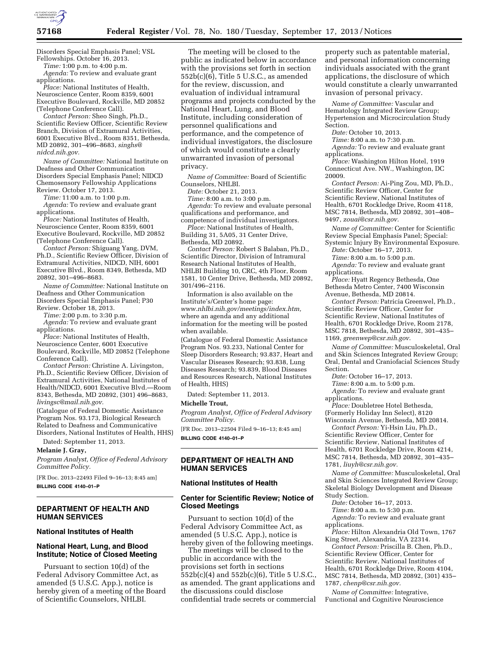

Disorders Special Emphasis Panel; VSL Fellowships. October 16, 2013.

*Time:* 1:00 p.m. to 4:00 p.m. *Agenda:* To review and evaluate grant applications.

*Place:* National Institutes of Health, Neuroscience Center, Room 8359, 6001 Executive Boulevard, Rockville, MD 20852 (Telephone Conference Call).

*Contact Person:* Sheo Singh, Ph.D., Scientific Review Officer, Scientific Review Branch, Division of Extramural Activities, 6001 Executive Blvd., Room 8351, Bethesda, MD 20892, 301–496–8683, *[singhs@](mailto:singhs@nidcd.nih.gov) [nidcd.nih.gov.](mailto:singhs@nidcd.nih.gov)* 

*Name of Committee:* National Institute on Deafness and Other Communication Disorders Special Emphasis Panel; NIDCD Chemosensory Fellowship Applications Review. October 17, 2013.

*Time:* 11:00 a.m. to 1:00 p.m. *Agenda:* To review and evaluate grant applications.

*Place:* National Institutes of Health, Neuroscience Center, Room 8359, 6001 Executive Boulevard, Rockville, MD 20852 (Telephone Conference Call).

*Contact Person:* Shiguang Yang, DVM, Ph.D., Scientific Review Officer, Division of Extramural Activities, NIDCD, NIH, 6001 Executive Blvd., Room 8349, Bethesda, MD 20892, 301–496–8683.

*Name of Committee:* National Institute on Deafness and Other Communication Disorders Special Emphasis Panel; P30 Review. October 18, 2013.

*Time:* 2:00 p.m. to 3:30 p.m.

*Agenda:* To review and evaluate grant applications.

*Place:* National Institutes of Health, Neuroscience Center, 6001 Executive Boulevard, Rockville, MD 20852 (Telephone Conference Call).

*Contact Person:* Christine A. Livingston, Ph.D., Scientific Review Officer, Division of Extramural Activities, National Institutes of Health/NIDCD, 6001 Executive Blvd.—Room 8343, Bethesda, MD 20892, (301) 496–8683, *[livingsc@mail.nih.gov.](mailto:livingsc@mail.nih.gov)* 

(Catalogue of Federal Domestic Assistance Program Nos. 93.173, Biological Research Related to Deafness and Communicative Disorders, National Institutes of Health, HHS)

Dated: September 11, 2013.

**Melanie J. Gray,** 

*Program Analyst, Office of Federal Advisory Committee Policy.* 

[FR Doc. 2013–22493 Filed 9–16–13; 8:45 am] **BILLING CODE 4140–01–P** 

## **DEPARTMENT OF HEALTH AND HUMAN SERVICES**

## **National Institutes of Health**

# **National Heart, Lung, and Blood Institute; Notice of Closed Meeting**

Pursuant to section 10(d) of the Federal Advisory Committee Act, as amended (5 U.S.C. App.), notice is hereby given of a meeting of the Board of Scientific Counselors, NHLBI.

The meeting will be closed to the public as indicated below in accordance with the provisions set forth in section 552b(c)(6), Title 5 U.S.C., as amended for the review, discussion, and evaluation of individual intramural programs and projects conducted by the National Heart, Lung, and Blood Institute, including consideration of personnel qualifications and performance, and the competence of individual investigators, the disclosure of which would constitute a clearly unwarranted invasion of personal privacy.

*Name of Committee:* Board of Scientific Counselors, NHLBI.

*Date:* October 21, 2013.

*Time:* 8:00 a.m. to 3:00 p.m. *Agenda:* To review and evaluate personal qualifications and performance, and competence of individual investigators.

*Place:* National Institutes of Health, Building 31, 5A05, 31 Center Drive, Bethesda, MD 20892.

*Contact Person:* Robert S Balaban, Ph.D., Scientific Director, Division of Intramural Research National Institutes of Health, NHLBI Building 10, CRC, 4th Floor, Room 1581, 10 Center Drive, Bethesda, MD 20892, 301/496–2116.

Information is also available on the Institute's/Center's home page: *[www.nhlbi.nih.gov/meetings/index.htm,](http://www.nhlbi.nih.gov/meetings/index.htm)*  where an agenda and any additional information for the meeting will be posted when available.

(Catalogue of Federal Domestic Assistance Program Nos. 93.233, National Center for Sleep Disorders Research; 93.837, Heart and Vascular Diseases Research; 93.838, Lung Diseases Research; 93.839, Blood Diseases and Resources Research, National Institutes of Health, HHS)

Dated: September 11, 2013.

#### **Michelle Trout,**

*Program Analyst, Office of Federal Advisory Committee Policy.* 

[FR Doc. 2013–22504 Filed 9–16–13; 8:45 am] **BILLING CODE 4140–01–P** 

# **DEPARTMENT OF HEALTH AND HUMAN SERVICES**

### **National Institutes of Health**

# **Center for Scientific Review; Notice of Closed Meetings**

Pursuant to section 10(d) of the Federal Advisory Committee Act, as amended (5 U.S.C. App.), notice is hereby given of the following meetings.

The meetings will be closed to the public in accordance with the provisions set forth in sections 552b(c)(4) and 552b(c)(6), Title 5 U.S.C., as amended. The grant applications and the discussions could disclose confidential trade secrets or commercial

property such as patentable material, and personal information concerning individuals associated with the grant applications, the disclosure of which would constitute a clearly unwarranted invasion of personal privacy.

*Name of Committee:* Vascular and Hematology Integrated Review Group; Hypertension and Microcirculation Study Section.

*Date:* October 10, 2013.

*Time:* 8:00 a.m. to 7:30 p.m. Agenda: To review and evaluate grant

applications. *Place:* Washington Hilton Hotel, 1919 Connecticut Ave. NW., Washington, DC

20009.

*Contact Person:* Ai-Ping Zou, MD, Ph.D., Scientific Review Officer, Center for Scientific Review, National Institutes of Health, 6701 Rockledge Drive, Room 4118, MSC 7814, Bethesda, MD 20892, 301–408– 9497, *[zouai@csr.nih.gov.](mailto:zouai@csr.nih.gov)* 

*Name of Committee:* Center for Scientific Review Special Emphasis Panel; Special: Systemic Injury By Environmental Exposure.

*Date:* October 16–17, 2013.

*Time:* 8:00 a.m. to 5:00 p.m.

*Agenda:* To review and evaluate grant applications.

*Place:* Hyatt Regency Bethesda, One Bethesda Metro Center, 7400 Wisconsin Avenue, Bethesda, MD 20814.

*Contact Person:* Patricia Greenwel, Ph.D., Scientific Review Officer, Center for Scientific Review, National Institutes of Health, 6701 Rockledge Drive, Room 2178, MSC 7818, Bethesda, MD 20892, 301–435– 1169, *[greenwep@csr.nih.gov](mailto:greenwep@csr.nih.gov)*.

*Name of Committee:* Musculoskeletal, Oral and Skin Sciences Integrated Review Group; Oral, Dental and Craniofacial Sciences Study Section.

*Date:* October 16–17, 2013.

*Time:* 8:00 a.m. to 5:00 p.m.

*Agenda:* To review and evaluate grant applications.

*Place:* Doubletree Hotel Bethesda, (Formerly Holiday Inn Select), 8120 Wisconsin Avenue, Bethesda, MD 20814.

*Contact Person:* Yi-Hsin Liu, Ph.D., Scientific Review Officer, Center for Scientific Review, National Institutes of Health, 6701 Rockledge Drive, Room 4214, MSC 7814, Bethesda, MD 20892, 301–435– 1781, *[liuyh@csr.nih.gov.](mailto:liuyh@csr.nih.gov)* 

*Name of Committee:* Musculoskeletal, Oral and Skin Sciences Integrated Review Group; Skeletal Biology Development and Disease Study Section.

*Date:* October 16–17, 2013.

*Time:* 8:00 a.m. to 5:30 p.m.

*Agenda:* To review and evaluate grant applications.

*Place:* Hilton Alexandria Old Town, 1767 King Street, Alexandria, VA 22314.

*Contact Person:* Priscilla B. Chen, Ph.D., Scientific Review Officer, Center for Scientific Review, National Institutes of Health, 6701 Rockledge Drive, Room 4104, MSC 7814, Bethesda, MD 20892, (301) 435– 1787, *[chenp@csr.nih.gov.](mailto:chenp@csr.nih.gov)* 

*Name of Committee:* Integrative, Functional and Cognitive Neuroscience